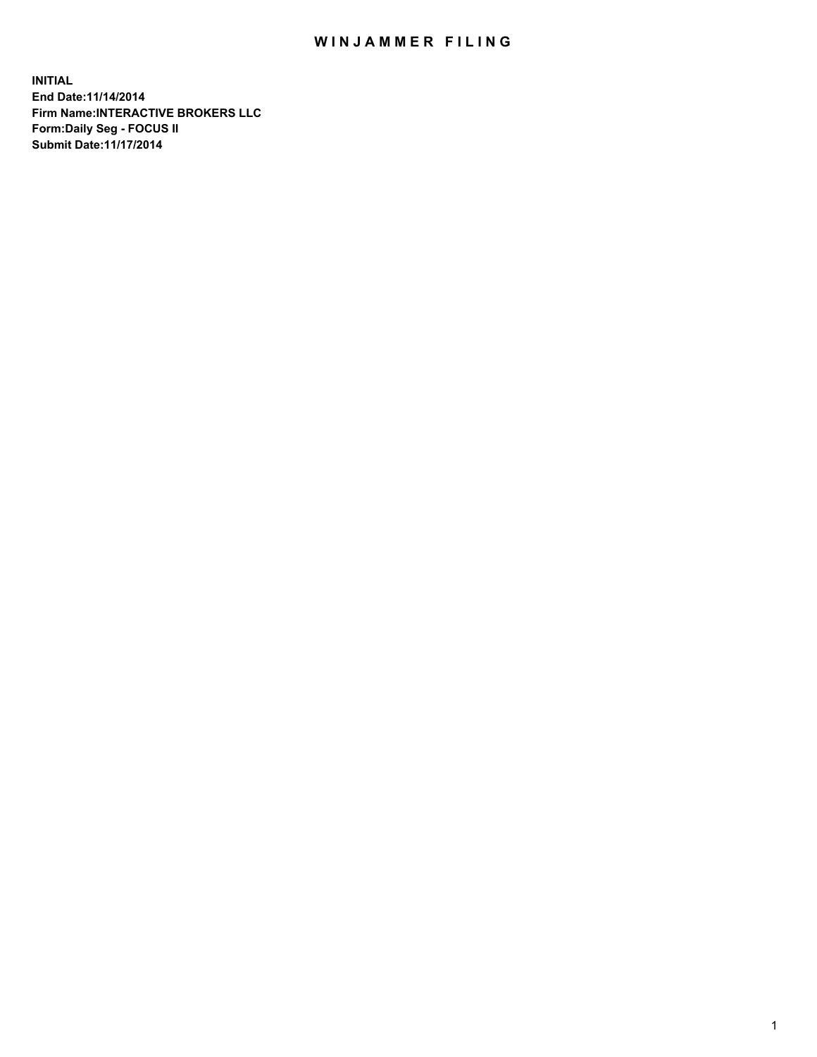## WIN JAMMER FILING

**INITIAL End Date:11/14/2014 Firm Name:INTERACTIVE BROKERS LLC Form:Daily Seg - FOCUS II Submit Date:11/17/2014**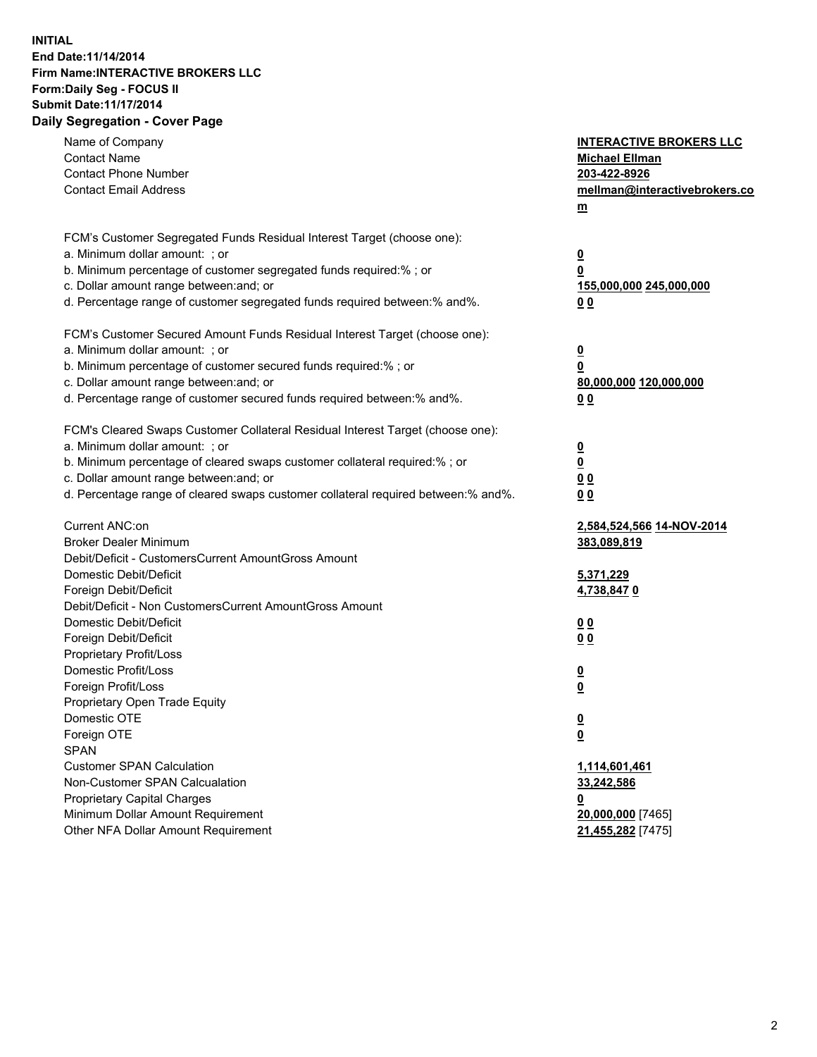## **INITIAL End Date:11/14/2014 Firm Name:INTERACTIVE BROKERS LLC Form:Daily Seg - FOCUS II Submit Date:11/17/2014 Daily Segregation - Cover Page**

| Name of Company<br><b>Contact Name</b><br><b>Contact Phone Number</b><br><b>Contact Email Address</b>                                                                                                                                                                                                                          | <b>INTERACTIVE BROKERS LLC</b><br><b>Michael Ellman</b><br>203-422-8926<br>mellman@interactivebrokers.co<br>$\underline{\mathbf{m}}$ |
|--------------------------------------------------------------------------------------------------------------------------------------------------------------------------------------------------------------------------------------------------------------------------------------------------------------------------------|--------------------------------------------------------------------------------------------------------------------------------------|
| FCM's Customer Segregated Funds Residual Interest Target (choose one):<br>a. Minimum dollar amount: ; or<br>b. Minimum percentage of customer segregated funds required:% ; or<br>c. Dollar amount range between: and; or<br>d. Percentage range of customer segregated funds required between:% and%.                         | <u>0</u><br>0<br><u>155,000,000 245,000,000</u><br>00                                                                                |
| FCM's Customer Secured Amount Funds Residual Interest Target (choose one):<br>a. Minimum dollar amount: ; or<br>b. Minimum percentage of customer secured funds required:% ; or<br>c. Dollar amount range between: and; or<br>d. Percentage range of customer secured funds required between:% and%.                           | <u>0</u><br>0<br>80,000,000 120,000,000<br>0 <sub>0</sub>                                                                            |
| FCM's Cleared Swaps Customer Collateral Residual Interest Target (choose one):<br>a. Minimum dollar amount: ; or<br>b. Minimum percentage of cleared swaps customer collateral required:% ; or<br>c. Dollar amount range between: and; or<br>d. Percentage range of cleared swaps customer collateral required between:% and%. | $\overline{\mathbf{0}}$<br>0<br>0 <sub>0</sub><br>0 <sub>0</sub>                                                                     |
| Current ANC:on<br><b>Broker Dealer Minimum</b><br>Debit/Deficit - CustomersCurrent AmountGross Amount<br>Domestic Debit/Deficit<br>Foreign Debit/Deficit                                                                                                                                                                       | 2,584,524,566 14-NOV-2014<br>383,089,819<br>5,371,229<br>4,738,8470                                                                  |
| Debit/Deficit - Non CustomersCurrent AmountGross Amount<br>Domestic Debit/Deficit<br>Foreign Debit/Deficit<br>Proprietary Profit/Loss<br>Domestic Profit/Loss<br>Foreign Profit/Loss                                                                                                                                           | 0 <sub>0</sub><br>0 <sub>0</sub><br><u>0</u><br>$\underline{\mathbf{0}}$                                                             |
| Proprietary Open Trade Equity<br>Domestic OTE<br>Foreign OTE<br><b>SPAN</b><br><b>Customer SPAN Calculation</b><br>Non-Customer SPAN Calcualation                                                                                                                                                                              | <u>0</u><br><u>0</u><br>1,114,601,461<br>33,242,586                                                                                  |
| <b>Proprietary Capital Charges</b><br>Minimum Dollar Amount Requirement<br>Other NFA Dollar Amount Requirement                                                                                                                                                                                                                 | <u>0</u><br>20,000,000 [7465]<br>21,455,282 [7475]                                                                                   |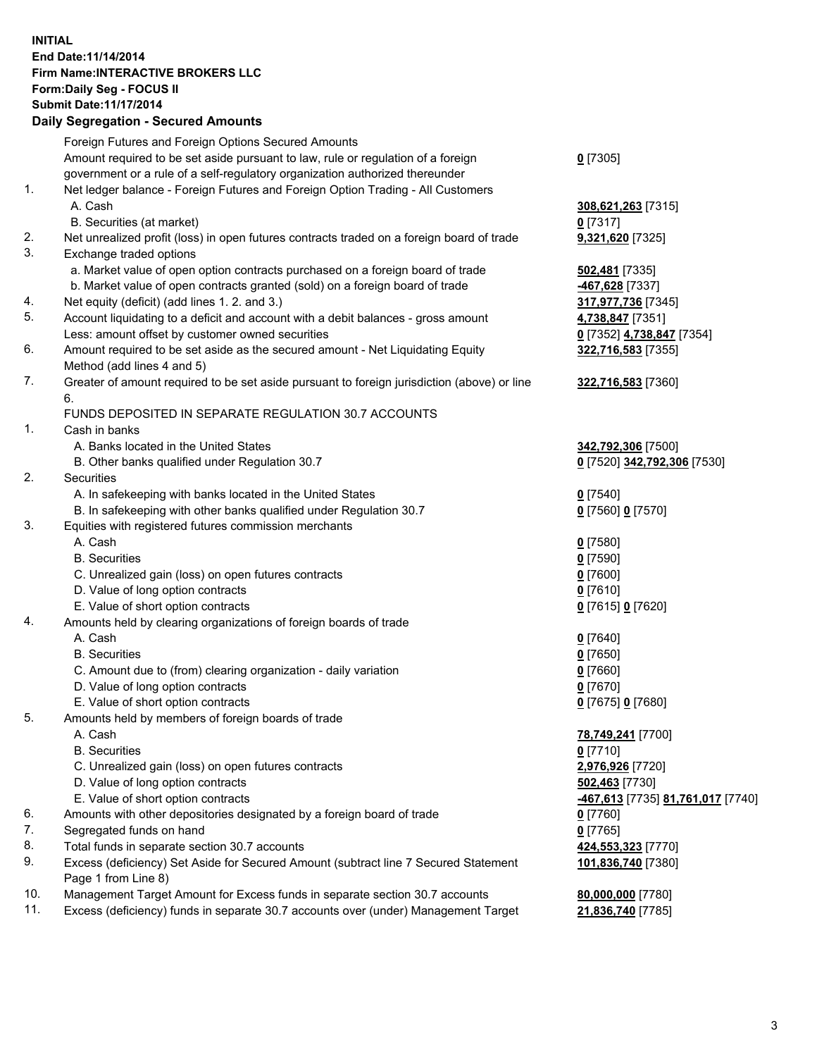## **INITIAL End Date:11/14/2014 Firm Name:INTERACTIVE BROKERS LLC Form:Daily Seg - FOCUS II Submit Date:11/17/2014 Daily Segregation - Secured Amounts**

|     | <b>Dany Ocgregation - Occarea Amounts</b>                                                                  |                                                       |
|-----|------------------------------------------------------------------------------------------------------------|-------------------------------------------------------|
|     | Foreign Futures and Foreign Options Secured Amounts                                                        |                                                       |
|     | Amount required to be set aside pursuant to law, rule or regulation of a foreign                           | $0$ [7305]                                            |
|     | government or a rule of a self-regulatory organization authorized thereunder                               |                                                       |
| 1.  | Net ledger balance - Foreign Futures and Foreign Option Trading - All Customers                            |                                                       |
|     | A. Cash                                                                                                    | 308,621,263 [7315]                                    |
|     | B. Securities (at market)                                                                                  | 0 [7317]                                              |
| 2.  | Net unrealized profit (loss) in open futures contracts traded on a foreign board of trade                  | 9,321,620 [7325]                                      |
| 3.  | Exchange traded options                                                                                    |                                                       |
|     | a. Market value of open option contracts purchased on a foreign board of trade                             | 502,481 [7335]                                        |
|     | b. Market value of open contracts granted (sold) on a foreign board of trade                               | -467,628 [7337]                                       |
| 4.  | Net equity (deficit) (add lines 1.2. and 3.)                                                               | 317,977,736 [7345]                                    |
| 5.  | Account liquidating to a deficit and account with a debit balances - gross amount                          | 4,738,847 [7351]                                      |
|     | Less: amount offset by customer owned securities                                                           | 0 [7352] 4,738,847 [7354]                             |
| 6.  | Amount required to be set aside as the secured amount - Net Liquidating Equity                             | 322,716,583 [7355]                                    |
|     | Method (add lines 4 and 5)                                                                                 |                                                       |
| 7.  | Greater of amount required to be set aside pursuant to foreign jurisdiction (above) or line                | 322,716,583 [7360]                                    |
|     | 6.                                                                                                         |                                                       |
|     | FUNDS DEPOSITED IN SEPARATE REGULATION 30.7 ACCOUNTS                                                       |                                                       |
| 1.  | Cash in banks                                                                                              |                                                       |
|     | A. Banks located in the United States                                                                      | 342,792,306 [7500]                                    |
|     | B. Other banks qualified under Regulation 30.7                                                             | 0 [7520] 342,792,306 [7530]                           |
| 2.  | Securities                                                                                                 |                                                       |
|     | A. In safekeeping with banks located in the United States                                                  | $0$ [7540]                                            |
|     | B. In safekeeping with other banks qualified under Regulation 30.7                                         | 0 [7560] 0 [7570]                                     |
| 3.  | Equities with registered futures commission merchants                                                      |                                                       |
|     | A. Cash                                                                                                    | $0$ [7580]                                            |
|     | <b>B.</b> Securities                                                                                       | $0$ [7590]                                            |
|     | C. Unrealized gain (loss) on open futures contracts                                                        | $0$ [7600]                                            |
|     | D. Value of long option contracts                                                                          | $0$ [7610]                                            |
|     | E. Value of short option contracts                                                                         | 0 [7615] 0 [7620]                                     |
| 4.  | Amounts held by clearing organizations of foreign boards of trade                                          |                                                       |
|     | A. Cash                                                                                                    | $0$ [7640]                                            |
|     | <b>B.</b> Securities                                                                                       | $0$ [7650]                                            |
|     | C. Amount due to (from) clearing organization - daily variation                                            | $0$ [7660]                                            |
|     | D. Value of long option contracts                                                                          | $0$ [7670]                                            |
|     | E. Value of short option contracts                                                                         | 0 [7675] 0 [7680]                                     |
| 5.  | Amounts held by members of foreign boards of trade                                                         |                                                       |
|     | A. Cash                                                                                                    | 78,749,241 [7700]                                     |
|     | <b>B.</b> Securities                                                                                       | $0$ [7710]                                            |
|     | C. Unrealized gain (loss) on open futures contracts                                                        | 2,976,926 [7720]                                      |
|     | D. Value of long option contracts                                                                          | 502,463 [7730]                                        |
|     | E. Value of short option contracts                                                                         | <mark>-467,613</mark> [7735] <b>81,761,017</b> [7740] |
| 6.  | Amounts with other depositories designated by a foreign board of trade                                     | $0$ [7760]                                            |
| 7.  | Segregated funds on hand                                                                                   | $0$ [7765]                                            |
| 8.  | Total funds in separate section 30.7 accounts                                                              | 424,553,323 [7770]                                    |
| 9.  | Excess (deficiency) Set Aside for Secured Amount (subtract line 7 Secured Statement<br>Page 1 from Line 8) | 101,836,740 [7380]                                    |
| 10. | Management Target Amount for Excess funds in separate section 30.7 accounts                                | 80,000,000 [7780]                                     |
| 11. | Excess (deficiency) funds in separate 30.7 accounts over (under) Management Target                         | 21,836,740 [7785]                                     |
|     |                                                                                                            |                                                       |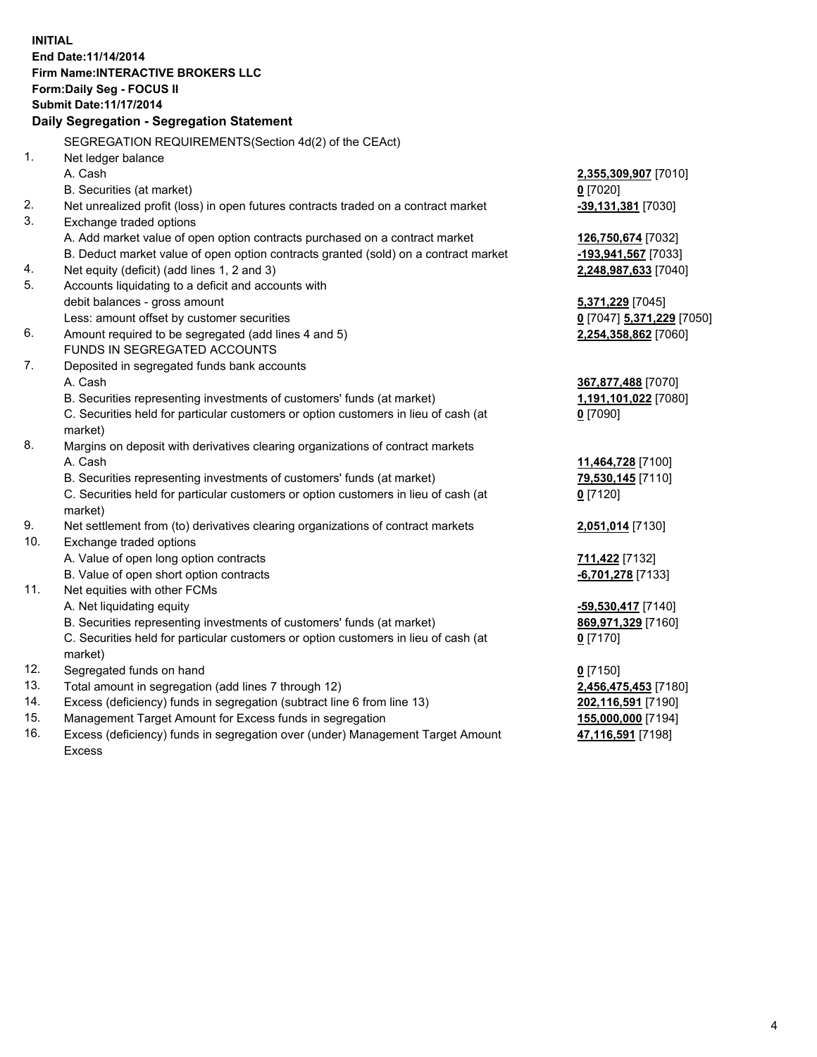**INITIAL End Date:11/14/2014 Firm Name:INTERACTIVE BROKERS LLC Form:Daily Seg - FOCUS II Submit Date:11/17/2014 Daily Segregation - Segregation Statement** SEGREGATION REQUIREMENTS(Section 4d(2) of the CEAct) 1. Net ledger balance A. Cash **2,355,309,907** [7010] B. Securities (at market) **0** [7020] 2. Net unrealized profit (loss) in open futures contracts traded on a contract market **-39,131,381** [7030] 3. Exchange traded options A. Add market value of open option contracts purchased on a contract market **126,750,674** [7032] B. Deduct market value of open option contracts granted (sold) on a contract market **-193,941,567** [7033] 4. Net equity (deficit) (add lines 1, 2 and 3) **2,248,987,633** [7040] 5. Accounts liquidating to a deficit and accounts with debit balances - gross amount **5,371,229** [7045] Less: amount offset by customer securities **0** [7047] **5,371,229** [7050] 6. Amount required to be segregated (add lines 4 and 5) **2,254,358,862** [7060] FUNDS IN SEGREGATED ACCOUNTS 7. Deposited in segregated funds bank accounts A. Cash **367,877,488** [7070] B. Securities representing investments of customers' funds (at market) **1,191,101,022** [7080] C. Securities held for particular customers or option customers in lieu of cash (at market) **0** [7090] 8. Margins on deposit with derivatives clearing organizations of contract markets A. Cash **11,464,728** [7100] B. Securities representing investments of customers' funds (at market) **79,530,145** [7110] C. Securities held for particular customers or option customers in lieu of cash (at market) **0** [7120] 9. Net settlement from (to) derivatives clearing organizations of contract markets **2,051,014** [7130] 10. Exchange traded options A. Value of open long option contracts **711,422** [7132] B. Value of open short option contracts **-6,701,278** [7133] 11. Net equities with other FCMs A. Net liquidating equity **-59,530,417** [7140] B. Securities representing investments of customers' funds (at market) **869,971,329** [7160] C. Securities held for particular customers or option customers in lieu of cash (at market) **0** [7170] 12. Segregated funds on hand **0** [7150] 13. Total amount in segregation (add lines 7 through 12) **2,456,475,453** [7180] 14. Excess (deficiency) funds in segregation (subtract line 6 from line 13) **202,116,591** [7190] 15. Management Target Amount for Excess funds in segregation **155,000,000** [7194]

16. Excess (deficiency) funds in segregation over (under) Management Target Amount Excess

**47,116,591** [7198]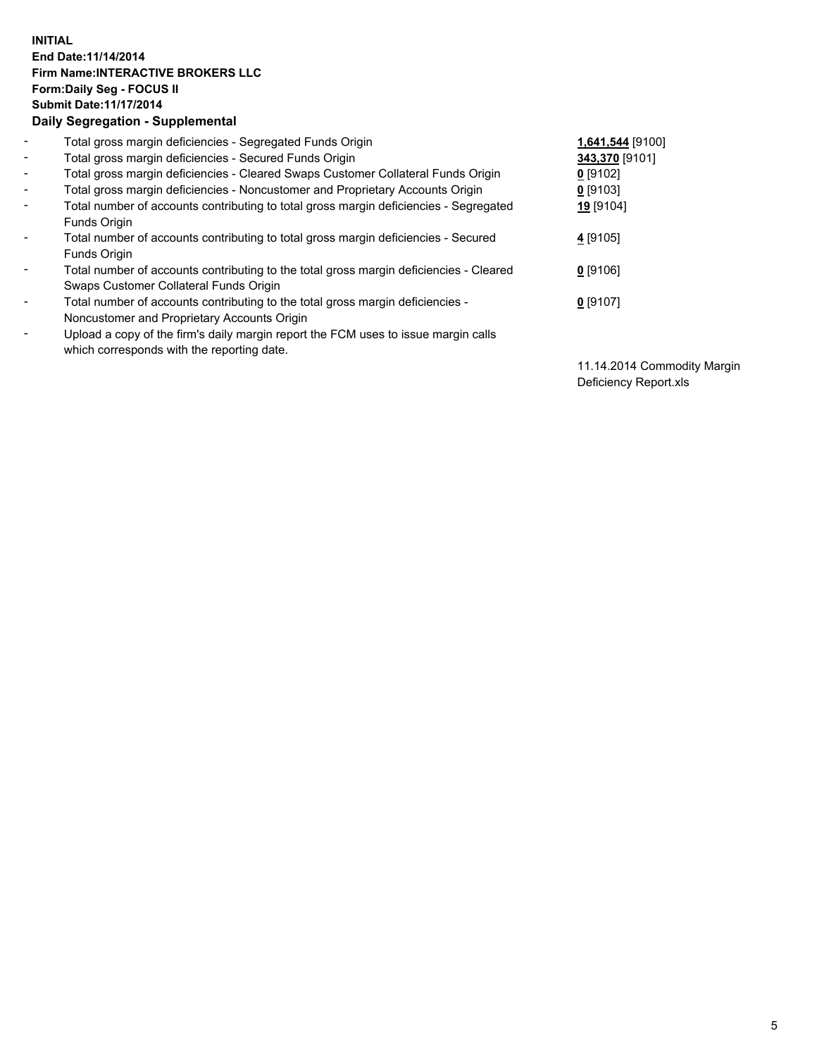## **INITIAL End Date:11/14/2014 Firm Name:INTERACTIVE BROKERS LLC Form:Daily Seg - FOCUS II Submit Date:11/17/2014 Daily Segregation - Supplemental**

| $\blacksquare$           | Total gross margin deficiencies - Segregated Funds Origin                                                                        | 1,641,544 [9100] |
|--------------------------|----------------------------------------------------------------------------------------------------------------------------------|------------------|
| $\overline{\phantom{a}}$ | Total gross margin deficiencies - Secured Funds Origin                                                                           | 343,370 [9101]   |
| $\blacksquare$           | Total gross margin deficiencies - Cleared Swaps Customer Collateral Funds Origin                                                 | $0$ [9102]       |
| $\blacksquare$           | Total gross margin deficiencies - Noncustomer and Proprietary Accounts Origin                                                    | $0$ [9103]       |
| $\sim$                   | Total number of accounts contributing to total gross margin deficiencies - Segregated<br>Funds Origin                            | 19 [9104]        |
| $\blacksquare$           | Total number of accounts contributing to total gross margin deficiencies - Secured<br>Funds Origin                               | 4 [9105]         |
| $\blacksquare$           | Total number of accounts contributing to the total gross margin deficiencies - Cleared<br>Swaps Customer Collateral Funds Origin | $0$ [9106]       |
| $\blacksquare$           | Total number of accounts contributing to the total gross margin deficiencies -<br>Noncustomer and Proprietary Accounts Origin    | $0$ [9107]       |
| $\overline{\phantom{a}}$ | Upload a copy of the firm's daily margin report the FCM uses to issue margin calls<br>which corresponds with the reporting date. |                  |

11.14.2014 Commodity Margin Deficiency Report.xls